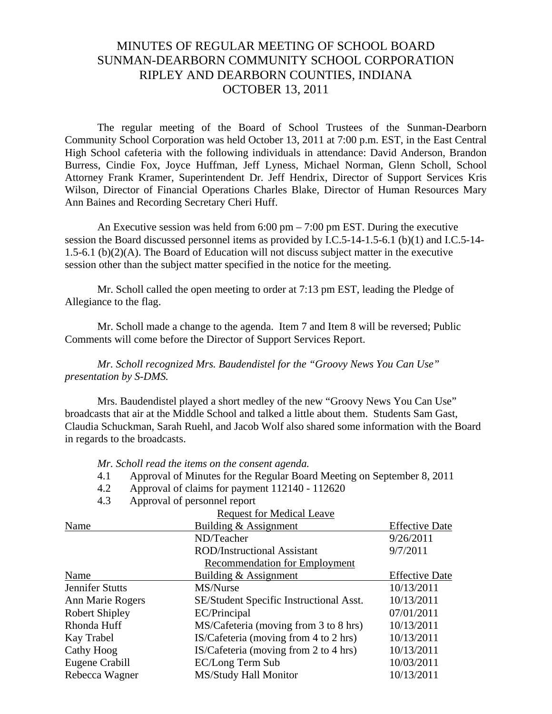# MINUTES OF REGULAR MEETING OF SCHOOL BOARD SUNMAN-DEARBORN COMMUNITY SCHOOL CORPORATION RIPLEY AND DEARBORN COUNTIES, INDIANA OCTOBER 13, 2011

 The regular meeting of the Board of School Trustees of the Sunman-Dearborn Community School Corporation was held October 13, 2011 at 7:00 p.m. EST, in the East Central High School cafeteria with the following individuals in attendance: David Anderson, Brandon Burress, Cindie Fox, Joyce Huffman, Jeff Lyness, Michael Norman, Glenn Scholl, School Attorney Frank Kramer, Superintendent Dr. Jeff Hendrix, Director of Support Services Kris Wilson, Director of Financial Operations Charles Blake, Director of Human Resources Mary Ann Baines and Recording Secretary Cheri Huff.

An Executive session was held from  $6:00 \text{ pm} - 7:00 \text{ pm}$  EST. During the executive session the Board discussed personnel items as provided by I.C.5-14-1.5-6.1 (b)(1) and I.C.5-14- 1.5-6.1 (b)(2)(A). The Board of Education will not discuss subject matter in the executive session other than the subject matter specified in the notice for the meeting.

 Mr. Scholl called the open meeting to order at 7:13 pm EST, leading the Pledge of Allegiance to the flag.

Mr. Scholl made a change to the agenda. Item 7 and Item 8 will be reversed; Public Comments will come before the Director of Support Services Report.

*Mr. Scholl recognized Mrs. Baudendistel for the "Groovy News You Can Use" presentation by S-DMS.*

 Mrs. Baudendistel played a short medley of the new "Groovy News You Can Use" broadcasts that air at the Middle School and talked a little about them. Students Sam Gast, Claudia Schuckman, Sarah Ruehl, and Jacob Wolf also shared some information with the Board in regards to the broadcasts.

*Mr. Scholl read the items on the consent agenda.*

- 4.1 Approval of Minutes for the Regular Board Meeting on September 8, 2011
- 4.2 Approval of claims for payment 112140 112620
- 4.3 Approval of personnel report

| <b>Request for Medical Leave</b>        |                       |  |  |
|-----------------------------------------|-----------------------|--|--|
| Building & Assignment                   | <b>Effective Date</b> |  |  |
| ND/Teacher                              | 9/26/2011             |  |  |
| <b>ROD/Instructional Assistant</b>      | 9/7/2011              |  |  |
| <b>Recommendation for Employment</b>    |                       |  |  |
| Building & Assignment                   | <b>Effective Date</b> |  |  |
| MS/Nurse                                | 10/13/2011            |  |  |
| SE/Student Specific Instructional Asst. | 10/13/2011            |  |  |
| EC/Principal                            | 07/01/2011            |  |  |
| MS/Cafeteria (moving from 3 to 8 hrs)   | 10/13/2011            |  |  |
| IS/Cafeteria (moving from 4 to 2 hrs)   | 10/13/2011            |  |  |
| IS/Cafeteria (moving from 2 to 4 hrs)   | 10/13/2011            |  |  |
| EC/Long Term Sub                        | 10/03/2011            |  |  |
| MS/Study Hall Monitor                   | 10/13/2011            |  |  |
|                                         |                       |  |  |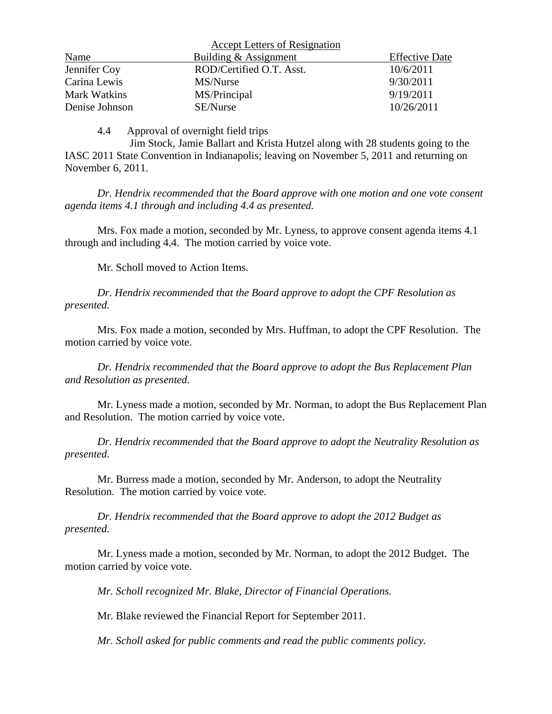|                     | <b>Accept Letters of Resignation</b> |                       |
|---------------------|--------------------------------------|-----------------------|
| Name                | Building & Assignment                | <b>Effective Date</b> |
| Jennifer Coy        | ROD/Certified O.T. Asst.             | 10/6/2011             |
| Carina Lewis        | MS/Nurse                             | 9/30/2011             |
| <b>Mark Watkins</b> | MS/Principal                         | 9/19/2011             |
| Denise Johnson      | SE/Nurse                             | 10/26/2011            |

4.4 Approval of overnight field trips

 Jim Stock, Jamie Ballart and Krista Hutzel along with 28 students going to the IASC 2011 State Convention in Indianapolis; leaving on November 5, 2011 and returning on November 6, 2011.

*Dr. Hendrix recommended that the Board approve with one motion and one vote consent agenda items 4.1 through and including 4.4 as presented.* 

Mrs. Fox made a motion, seconded by Mr. Lyness, to approve consent agenda items 4.1 through and including 4.4. The motion carried by voice vote.

Mr. Scholl moved to Action Items.

 *Dr. Hendrix recommended that the Board approve to adopt the CPF Resolution as presented.*

 Mrs. Fox made a motion, seconded by Mrs. Huffman, to adopt the CPF Resolution. The motion carried by voice vote.

*Dr. Hendrix recommended that the Board approve to adopt the Bus Replacement Plan and Resolution as presented.* 

Mr. Lyness made a motion, seconded by Mr. Norman, to adopt the Bus Replacement Plan and Resolution. The motion carried by voice vote.

*Dr. Hendrix recommended that the Board approve to adopt the Neutrality Resolution as presented.*

 Mr. Burress made a motion, seconded by Mr. Anderson, to adopt the Neutrality Resolution. The motion carried by voice vote.

*Dr. Hendrix recommended that the Board approve to adopt the 2012 Budget as presented.*

 Mr. Lyness made a motion, seconded by Mr. Norman, to adopt the 2012 Budget. The motion carried by voice vote.

*Mr. Scholl recognized Mr. Blake, Director of Financial Operations.* 

Mr. Blake reviewed the Financial Report for September 2011.

*Mr. Scholl asked for public comments and read the public comments policy.*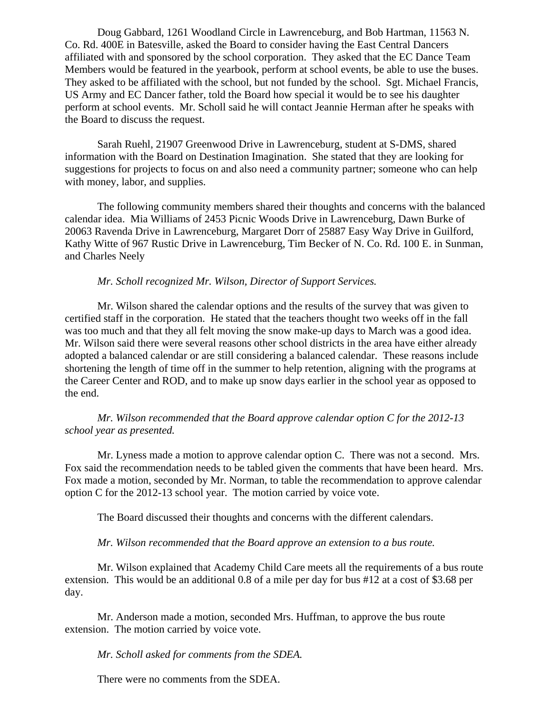Doug Gabbard, 1261 Woodland Circle in Lawrenceburg, and Bob Hartman, 11563 N. Co. Rd. 400E in Batesville, asked the Board to consider having the East Central Dancers affiliated with and sponsored by the school corporation. They asked that the EC Dance Team Members would be featured in the yearbook, perform at school events, be able to use the buses. They asked to be affiliated with the school, but not funded by the school. Sgt. Michael Francis, US Army and EC Dancer father, told the Board how special it would be to see his daughter perform at school events. Mr. Scholl said he will contact Jeannie Herman after he speaks with the Board to discuss the request.

Sarah Ruehl, 21907 Greenwood Drive in Lawrenceburg, student at S-DMS, shared information with the Board on Destination Imagination. She stated that they are looking for suggestions for projects to focus on and also need a community partner; someone who can help with money, labor, and supplies.

The following community members shared their thoughts and concerns with the balanced calendar idea. Mia Williams of 2453 Picnic Woods Drive in Lawrenceburg, Dawn Burke of 20063 Ravenda Drive in Lawrenceburg, Margaret Dorr of 25887 Easy Way Drive in Guilford, Kathy Witte of 967 Rustic Drive in Lawrenceburg, Tim Becker of N. Co. Rd. 100 E. in Sunman, and Charles Neely

#### *Mr. Scholl recognized Mr. Wilson, Director of Support Services.*

Mr. Wilson shared the calendar options and the results of the survey that was given to certified staff in the corporation. He stated that the teachers thought two weeks off in the fall was too much and that they all felt moving the snow make-up days to March was a good idea. Mr. Wilson said there were several reasons other school districts in the area have either already adopted a balanced calendar or are still considering a balanced calendar. These reasons include shortening the length of time off in the summer to help retention, aligning with the programs at the Career Center and ROD, and to make up snow days earlier in the school year as opposed to the end.

*Mr. Wilson recommended that the Board approve calendar option C for the 2012-13 school year as presented.* 

Mr. Lyness made a motion to approve calendar option C. There was not a second. Mrs. Fox said the recommendation needs to be tabled given the comments that have been heard. Mrs. Fox made a motion, seconded by Mr. Norman, to table the recommendation to approve calendar option C for the 2012-13 school year. The motion carried by voice vote.

The Board discussed their thoughts and concerns with the different calendars.

*Mr. Wilson recommended that the Board approve an extension to a bus route.*

Mr. Wilson explained that Academy Child Care meets all the requirements of a bus route extension. This would be an additional 0.8 of a mile per day for bus #12 at a cost of \$3.68 per day.

Mr. Anderson made a motion, seconded Mrs. Huffman, to approve the bus route extension. The motion carried by voice vote.

*Mr. Scholl asked for comments from the SDEA.* 

There were no comments from the SDEA.